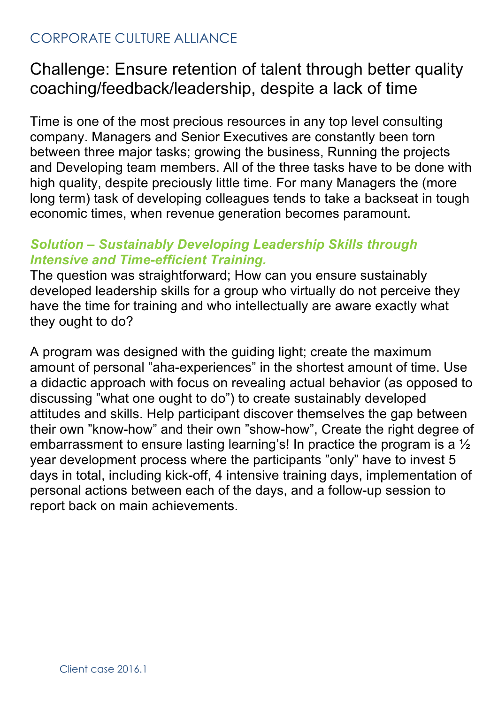## CORPORATE CULTURE ALLIANCE

## Challenge: Ensure retention of talent through better quality coaching/feedback/leadership, despite a lack of time

Time is one of the most precious resources in any top level consulting company. Managers and Senior Executives are constantly been torn between three major tasks; growing the business, Running the projects and Developing team members. All of the three tasks have to be done with high quality, despite preciously little time. For many Managers the (more long term) task of developing colleagues tends to take a backseat in tough economic times, when revenue generation becomes paramount.

## *Solution – Sustainably Developing Leadership Skills through Intensive and Time-efficient Training.*

The question was straightforward; How can you ensure sustainably developed leadership skills for a group who virtually do not perceive they have the time for training and who intellectually are aware exactly what they ought to do?

A program was designed with the guiding light; create the maximum amount of personal "aha-experiences" in the shortest amount of time. Use a didactic approach with focus on revealing actual behavior (as opposed to discussing "what one ought to do") to create sustainably developed attitudes and skills. Help participant discover themselves the gap between their own "know-how" and their own "show-how", Create the right degree of embarrassment to ensure lasting learning's! In practice the program is a ½ year development process where the participants "only" have to invest 5 days in total, including kick-off, 4 intensive training days, implementation of personal actions between each of the days, and a follow-up session to report back on main achievements.